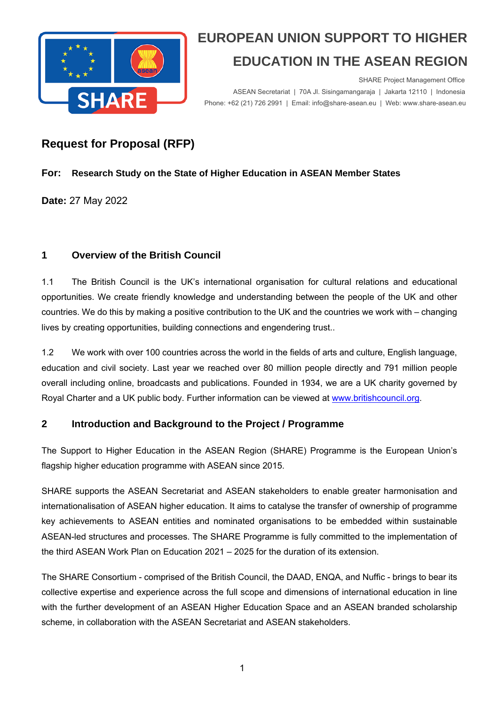

 SHARE Project Management Office ASEAN Secretariat | 70A Jl. Sisingamangaraja | Jakarta 12110 | Indonesia<br>Phone: +62 (21) 726 2991 | Email: info@share-asean.eu | Web: www.share-asean.eu Phone: +62 (21) 726 2991 | Email: info@share-asean.eu | Web: www.share-asean.eu

### **Request for Proposal (RFP)**

#### **For: Research Study on the State of Higher Education in ASEAN Member States**

**Date:** 27 May 2022

### **1 Overview of the British Council**

1.1 The British Council is the UK's international organisation for cultural relations and educational opportunities. We create friendly knowledge and understanding between the people of the UK and other countries. We do this by making a positive contribution to the UK and the countries we work with – changing lives by creating opportunities, building connections and engendering trust..

1.2 We work with over 100 countries across the world in the fields of arts and culture, English language, education and civil society. Last year we reached over 80 million people directly and 791 million people overall including online, broadcasts and publications. Founded in 1934, we are a UK charity governed by Royal Charter and a UK public body. Further information can be viewed at www.britishcouncil.org.

### **2 Introduction and Background to the Project / Programme**

The Support to Higher Education in the ASEAN Region (SHARE) Programme is the European Union's flagship higher education programme with ASEAN since 2015.

SHARE supports the ASEAN Secretariat and ASEAN stakeholders to enable greater harmonisation and internationalisation of ASEAN higher education. It aims to catalyse the transfer of ownership of programme key achievements to ASEAN entities and nominated organisations to be embedded within sustainable ASEAN-led structures and processes. The SHARE Programme is fully committed to the implementation of the third ASEAN Work Plan on Education 2021 – 2025 for the duration of its extension.

The SHARE Consortium - comprised of the British Council, the DAAD, ENQA, and Nuffic - brings to bear its collective expertise and experience across the full scope and dimensions of international education in line with the further development of an ASEAN Higher Education Space and an ASEAN branded scholarship scheme, in collaboration with the ASEAN Secretariat and ASEAN stakeholders.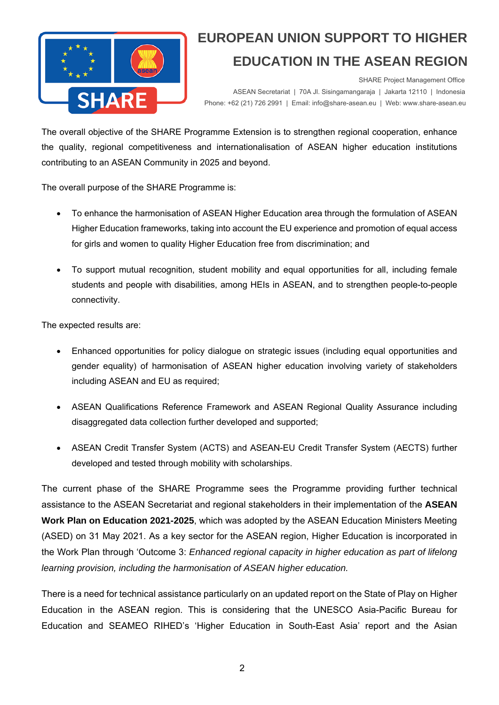

 SHARE Project Management Office ASEAN Secretariat | 70A Jl. Sisingamangaraja | Jakarta 12110 | Indonesia<br>Phone: +62 (21) 726 2991 | Email: info@share-asean.eu | Web: www.share-asean.eu Phone: +62 (21) 726 2991 | Email: info@share-asean.eu | Web: www.share-asean.eu

The overall objective of the SHARE Programme Extension is to strengthen regional cooperation, enhance the quality, regional competitiveness and internationalisation of ASEAN higher education institutions contributing to an ASEAN Community in 2025 and beyond.

The overall purpose of the SHARE Programme is:

- To enhance the harmonisation of ASEAN Higher Education area through the formulation of ASEAN Higher Education frameworks, taking into account the EU experience and promotion of equal access for girls and women to quality Higher Education free from discrimination; and
- To support mutual recognition, student mobility and equal opportunities for all, including female students and people with disabilities, among HEIs in ASEAN, and to strengthen people-to-people connectivity.

The expected results are:

- Enhanced opportunities for policy dialogue on strategic issues (including equal opportunities and gender equality) of harmonisation of ASEAN higher education involving variety of stakeholders including ASEAN and EU as required;
- ASEAN Qualifications Reference Framework and ASEAN Regional Quality Assurance including disaggregated data collection further developed and supported:
- ASEAN Credit Transfer System (ACTS) and ASEAN-EU Credit Transfer System (AECTS) further developed and tested through mobility with scholarships.

The current phase of the SHARE Programme sees the Programme providing further technical assistance to the ASEAN Secretariat and regional stakeholders in their implementation of the **ASEAN Work Plan on Education 2021-2025**, which was adopted by the ASEAN Education Ministers Meeting (ASED) on 31 May 2021. As a key sector for the ASEAN region, Higher Education is incorporated in the Work Plan through 'Outcome 3: *Enhanced regional capacity in higher education as part of lifelong learning provision, including the harmonisation of ASEAN higher education.* 

There is a need for technical assistance particularly on an updated report on the State of Play on Higher Education in the ASEAN region. This is considering that the UNESCO Asia-Pacific Bureau for Education and SEAMEO RIHED's 'Higher Education in South-East Asia' report and the Asian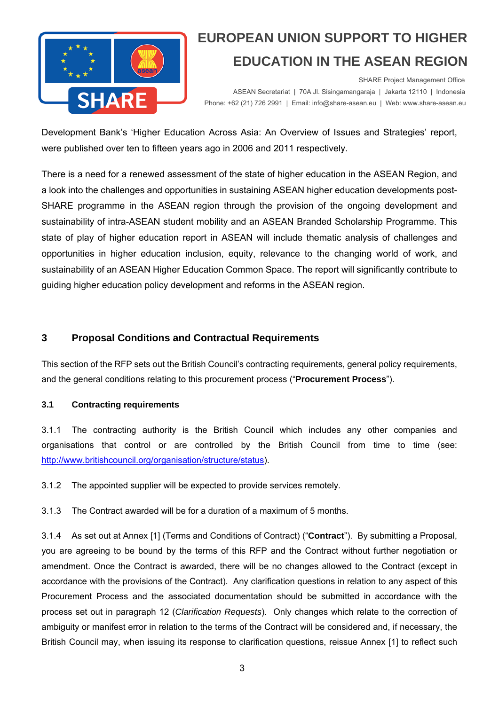

 SHARE Project Management Office ASEAN Secretariat | 70A Jl. Sisingamangaraja | Jakarta 12110 | Indonesia<br>Phone: +62 (21) 726 2991 | Email: info@share-asean.eu | Web: www.share-asean.eu Phone: +62 (21) 726 2991 | Email: info@share-asean.eu | Web: www.share-asean.eu

Development Bank's 'Higher Education Across Asia: An Overview of Issues and Strategies' report, were published over ten to fifteen years ago in 2006 and 2011 respectively.

There is a need for a renewed assessment of the state of higher education in the ASEAN Region, and a look into the challenges and opportunities in sustaining ASEAN higher education developments post-SHARE programme in the ASEAN region through the provision of the ongoing development and sustainability of intra-ASEAN student mobility and an ASEAN Branded Scholarship Programme. This state of play of higher education report in ASEAN will include thematic analysis of challenges and opportunities in higher education inclusion, equity, relevance to the changing world of work, and sustainability of an ASEAN Higher Education Common Space. The report will significantly contribute to guiding higher education policy development and reforms in the ASEAN region.

#### **3 Proposal Conditions and Contractual Requirements**

This section of the RFP sets out the British Council's contracting requirements, general policy requirements, and the general conditions relating to this procurement process ("**Procurement Process**").

#### **3.1 Contracting requirements**

3.1.1 The contracting authority is the British Council which includes any other companies and organisations that control or are controlled by the British Council from time to time (see: http://www.britishcouncil.org/organisation/structure/status).

3.1.2 The appointed supplier will be expected to provide services remotely.

3.1.3 The Contract awarded will be for a duration of a maximum of 5 months.

3.1.4 As set out at Annex [1] (Terms and Conditions of Contract) ("**Contract**"). By submitting a Proposal, you are agreeing to be bound by the terms of this RFP and the Contract without further negotiation or amendment. Once the Contract is awarded, there will be no changes allowed to the Contract (except in accordance with the provisions of the Contract). Any clarification questions in relation to any aspect of this Procurement Process and the associated documentation should be submitted in accordance with the process set out in paragraph 12 (*Clarification Requests*). Only changes which relate to the correction of ambiguity or manifest error in relation to the terms of the Contract will be considered and, if necessary, the British Council may, when issuing its response to clarification questions, reissue Annex [1] to reflect such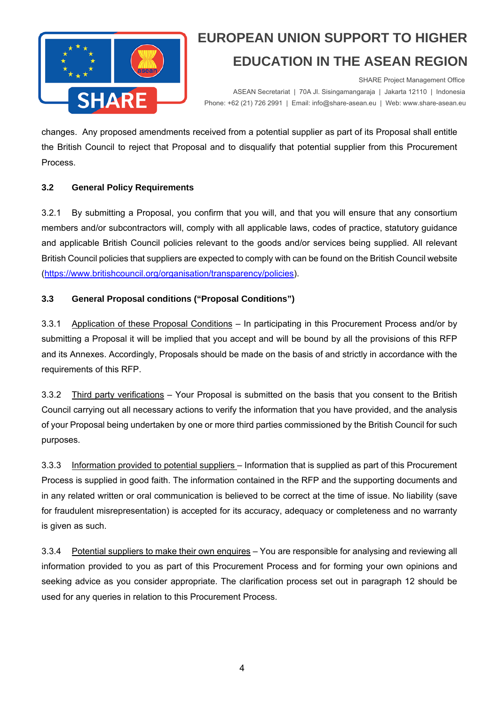

 SHARE Project Management Office ASEAN Secretariat | 70A Jl. Sisingamangaraja | Jakarta 12110 | Indonesia<br>Phone: +62 (21) 726 2991 | Email: info@share-asean.eu | Web: www.share-asean.eu Phone: +62 (21) 726 2991 | Email: info@share-asean.eu | Web: www.share-asean.eu

changes. Any proposed amendments received from a potential supplier as part of its Proposal shall entitle the British Council to reject that Proposal and to disqualify that potential supplier from this Procurement Process.

#### **3.2 General Policy Requirements**

3.2.1 By submitting a Proposal, you confirm that you will, and that you will ensure that any consortium members and/or subcontractors will, comply with all applicable laws, codes of practice, statutory guidance and applicable British Council policies relevant to the goods and/or services being supplied. All relevant British Council policies that suppliers are expected to comply with can be found on the British Council website (https://www.britishcouncil.org/organisation/transparency/policies).

#### **3.3 General Proposal conditions ("Proposal Conditions")**

3.3.1 Application of these Proposal Conditions – In participating in this Procurement Process and/or by submitting a Proposal it will be implied that you accept and will be bound by all the provisions of this RFP and its Annexes. Accordingly, Proposals should be made on the basis of and strictly in accordance with the requirements of this RFP.

3.3.2 Third party verifications – Your Proposal is submitted on the basis that you consent to the British Council carrying out all necessary actions to verify the information that you have provided, and the analysis of your Proposal being undertaken by one or more third parties commissioned by the British Council for such purposes.

3.3.3 Information provided to potential suppliers – Information that is supplied as part of this Procurement Process is supplied in good faith. The information contained in the RFP and the supporting documents and in any related written or oral communication is believed to be correct at the time of issue. No liability (save for fraudulent misrepresentation) is accepted for its accuracy, adequacy or completeness and no warranty is given as such.

3.3.4 Potential suppliers to make their own enquires – You are responsible for analysing and reviewing all information provided to you as part of this Procurement Process and for forming your own opinions and seeking advice as you consider appropriate. The clarification process set out in paragraph 12 should be used for any queries in relation to this Procurement Process.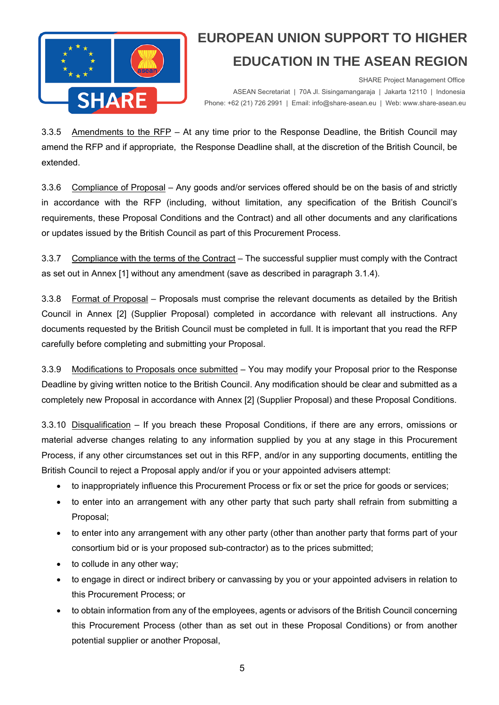

 SHARE Project Management Office ASEAN Secretariat | 70A Jl. Sisingamangaraja | Jakarta 12110 | Indonesia<br>Phone: +62 (21) 726 2991 | Email: info@share-asean.eu | Web: www.share-asean.eu Phone: +62 (21) 726 2991 | Email: info@share-asean.eu | Web: www.share-asean.eu

3.3.5 Amendments to the RFP – At any time prior to the Response Deadline, the British Council may amend the RFP and if appropriate, the Response Deadline shall, at the discretion of the British Council, be extended.

3.3.6 Compliance of Proposal – Any goods and/or services offered should be on the basis of and strictly in accordance with the RFP (including, without limitation, any specification of the British Council's requirements, these Proposal Conditions and the Contract) and all other documents and any clarifications or updates issued by the British Council as part of this Procurement Process.

3.3.7 Compliance with the terms of the Contract – The successful supplier must comply with the Contract as set out in Annex [1] without any amendment (save as described in paragraph 3.1.4).

3.3.8 Format of Proposal – Proposals must comprise the relevant documents as detailed by the British Council in Annex [2] (Supplier Proposal) completed in accordance with relevant all instructions. Any documents requested by the British Council must be completed in full. It is important that you read the RFP carefully before completing and submitting your Proposal.

3.3.9 Modifications to Proposals once submitted - You may modify your Proposal prior to the Response Deadline by giving written notice to the British Council. Any modification should be clear and submitted as a completely new Proposal in accordance with Annex [2] (Supplier Proposal) and these Proposal Conditions.

3.3.10 Disqualification – If you breach these Proposal Conditions, if there are any errors, omissions or material adverse changes relating to any information supplied by you at any stage in this Procurement Process, if any other circumstances set out in this RFP, and/or in any supporting documents, entitling the British Council to reject a Proposal apply and/or if you or your appointed advisers attempt:

- to inappropriately influence this Procurement Process or fix or set the price for goods or services;
- to enter into an arrangement with any other party that such party shall refrain from submitting a Proposal;
- to enter into any arrangement with any other party (other than another party that forms part of your consortium bid or is your proposed sub-contractor) as to the prices submitted;
- to collude in any other way;
- to engage in direct or indirect bribery or canvassing by you or your appointed advisers in relation to this Procurement Process; or
- to obtain information from any of the employees, agents or advisors of the British Council concerning this Procurement Process (other than as set out in these Proposal Conditions) or from another potential supplier or another Proposal,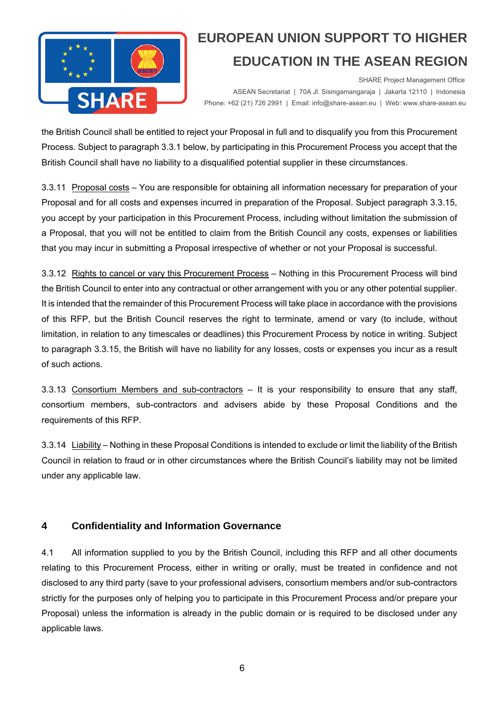

 SHARE Project Management Office ASEAN Secretariat | 70A Jl. Sisingamangaraja | Jakarta 12110 | Indonesia<br>Phone: +62 (21) 726 2991 | Email: info@share-asean.eu | Web: www.share-asean.eu Phone: +62 (21) 726 2991 | Email: info@share-asean.eu | Web: www.share-asean.eu

the British Council shall be entitled to reject your Proposal in full and to disqualify you from this Procurement Process. Subject to paragraph 3.3.1 below, by participating in this Procurement Process you accept that the British Council shall have no liability to a disqualified potential supplier in these circumstances.

3.3.11 Proposal costs – You are responsible for obtaining all information necessary for preparation of your Proposal and for all costs and expenses incurred in preparation of the Proposal. Subject paragraph 3.3.15, you accept by your participation in this Procurement Process, including without limitation the submission of a Proposal, that you will not be entitled to claim from the British Council any costs, expenses or liabilities that you may incur in submitting a Proposal irrespective of whether or not your Proposal is successful.

3.3.12 Rights to cancel or vary this Procurement Process – Nothing in this Procurement Process will bind the British Council to enter into any contractual or other arrangement with you or any other potential supplier. It is intended that the remainder of this Procurement Process will take place in accordance with the provisions of this RFP, but the British Council reserves the right to terminate, amend or vary (to include, without limitation, in relation to any timescales or deadlines) this Procurement Process by notice in writing. Subject to paragraph 3.3.15, the British will have no liability for any losses, costs or expenses you incur as a result of such actions.

3.3.13 Consortium Members and sub-contractors – It is your responsibility to ensure that any staff, consortium members, sub-contractors and advisers abide by these Proposal Conditions and the requirements of this RFP.

3.3.14 Liability – Nothing in these Proposal Conditions is intended to exclude or limit the liability of the British Council in relation to fraud or in other circumstances where the British Council's liability may not be limited under any applicable law.

### **4 Confidentiality and Information Governance**

4.1 All information supplied to you by the British Council, including this RFP and all other documents relating to this Procurement Process, either in writing or orally, must be treated in confidence and not disclosed to any third party (save to your professional advisers, consortium members and/or sub-contractors strictly for the purposes only of helping you to participate in this Procurement Process and/or prepare your Proposal) unless the information is already in the public domain or is required to be disclosed under any applicable laws.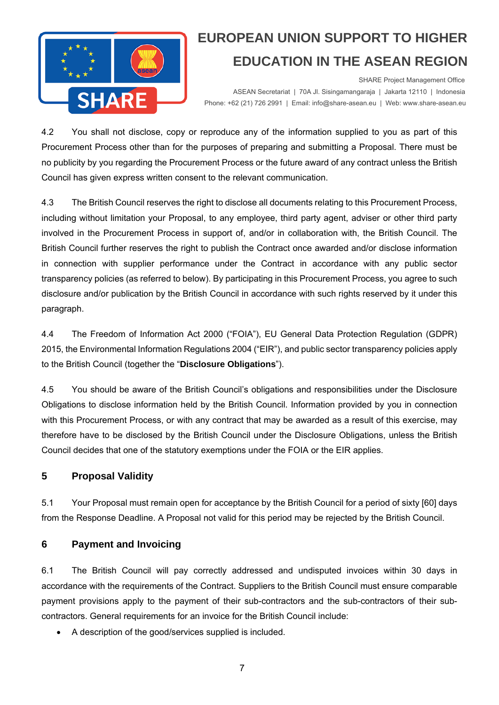

 SHARE Project Management Office ASEAN Secretariat | 70A Jl. Sisingamangaraja | Jakarta 12110 | Indonesia<br>Phone: +62 (21) 726 2991 | Email: info@share-asean.eu | Web: www.share-asean.eu Phone: +62 (21) 726 2991 | Email: info@share-asean.eu | Web: www.share-asean.eu

4.2 You shall not disclose, copy or reproduce any of the information supplied to you as part of this Procurement Process other than for the purposes of preparing and submitting a Proposal. There must be no publicity by you regarding the Procurement Process or the future award of any contract unless the British Council has given express written consent to the relevant communication.

4.3 The British Council reserves the right to disclose all documents relating to this Procurement Process, including without limitation your Proposal, to any employee, third party agent, adviser or other third party involved in the Procurement Process in support of, and/or in collaboration with, the British Council. The British Council further reserves the right to publish the Contract once awarded and/or disclose information in connection with supplier performance under the Contract in accordance with any public sector transparency policies (as referred to below). By participating in this Procurement Process, you agree to such disclosure and/or publication by the British Council in accordance with such rights reserved by it under this paragraph.

4.4 The Freedom of Information Act 2000 ("FOIA"), EU General Data Protection Regulation (GDPR) 2015, the Environmental Information Regulations 2004 ("EIR"), and public sector transparency policies apply to the British Council (together the "**Disclosure Obligations**").

4.5 You should be aware of the British Council's obligations and responsibilities under the Disclosure Obligations to disclose information held by the British Council. Information provided by you in connection with this Procurement Process, or with any contract that may be awarded as a result of this exercise, may therefore have to be disclosed by the British Council under the Disclosure Obligations, unless the British Council decides that one of the statutory exemptions under the FOIA or the EIR applies.

### **5 Proposal Validity**

5.1 Your Proposal must remain open for acceptance by the British Council for a period of sixty [60] days from the Response Deadline. A Proposal not valid for this period may be rejected by the British Council.

#### **6 Payment and Invoicing**

6.1 The British Council will pay correctly addressed and undisputed invoices within 30 days in accordance with the requirements of the Contract. Suppliers to the British Council must ensure comparable payment provisions apply to the payment of their sub-contractors and the sub-contractors of their subcontractors. General requirements for an invoice for the British Council include:

A description of the good/services supplied is included.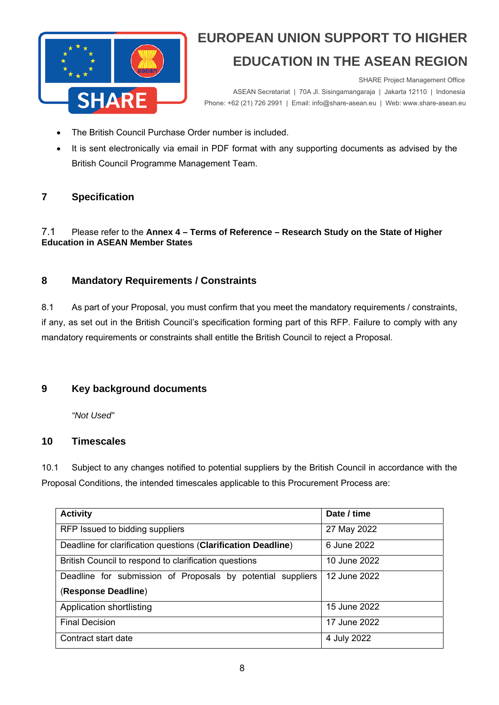

 SHARE Project Management Office ASEAN Secretariat | 70A Jl. Sisingamangaraja | Jakarta 12110 | Indonesia<br>Phone: +62 (21) 726 2991 | Email: info@share-asean.eu | Web: www.share-asean.eu Phone: +62 (21) 726 2991 | Email: info@share-asean.eu | Web: www.share-asean.eu

- The British Council Purchase Order number is included.
- It is sent electronically via email in PDF format with any supporting documents as advised by the British Council Programme Management Team.

### **7 Specification**

#### 7.1 Please refer to the **Annex 4 – Terms of Reference – Research Study on the State of Higher Education in ASEAN Member States**

### **8 Mandatory Requirements / Constraints**

8.1 As part of your Proposal, you must confirm that you meet the mandatory requirements / constraints, if any, as set out in the British Council's specification forming part of this RFP. Failure to comply with any mandatory requirements or constraints shall entitle the British Council to reject a Proposal.

### **9 Key background documents**

*"Not Used"* 

### **10 Timescales**

10.1 Subject to any changes notified to potential suppliers by the British Council in accordance with the Proposal Conditions, the intended timescales applicable to this Procurement Process are:

| <b>Activity</b>                                               | Date / time  |
|---------------------------------------------------------------|--------------|
| RFP Issued to bidding suppliers                               | 27 May 2022  |
| Deadline for clarification questions (Clarification Deadline) | 6 June 2022  |
| British Council to respond to clarification questions         | 10 June 2022 |
| Deadline for submission of Proposals by potential suppliers   | 12 June 2022 |
| (Response Deadline)                                           |              |
| Application shortlisting                                      | 15 June 2022 |
| <b>Final Decision</b>                                         | 17 June 2022 |
| Contract start date                                           | 4 July 2022  |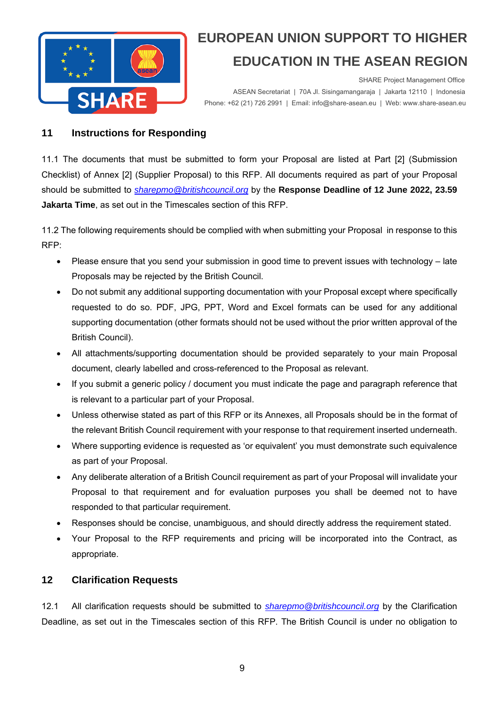

 SHARE Project Management Office ASEAN Secretariat | 70A Jl. Sisingamangaraja | Jakarta 12110 | Indonesia<br>Phone: +62 (21) 726 2991 | Email: info@share-asean.eu | Web: www.share-asean.eu Phone: +62 (21) 726 2991 | Email: info@share-asean.eu | Web: www.share-asean.eu

#### **11 Instructions for Responding**

11.1 The documents that must be submitted to form your Proposal are listed at Part [2] (Submission Checklist) of Annex [2] (Supplier Proposal) to this RFP. All documents required as part of your Proposal should be submitted to *sharepmo@britishcouncil.org* by the **Response Deadline of 12 June 2022, 23.59 Jakarta Time**, as set out in the Timescales section of this RFP.

11.2 The following requirements should be complied with when submitting your Proposal in response to this RFP:

- Please ensure that you send your submission in good time to prevent issues with technology late Proposals may be rejected by the British Council.
- Do not submit any additional supporting documentation with your Proposal except where specifically requested to do so. PDF, JPG, PPT, Word and Excel formats can be used for any additional supporting documentation (other formats should not be used without the prior written approval of the British Council).
- All attachments/supporting documentation should be provided separately to your main Proposal document, clearly labelled and cross-referenced to the Proposal as relevant.
- If you submit a generic policy / document you must indicate the page and paragraph reference that is relevant to a particular part of your Proposal.
- Unless otherwise stated as part of this RFP or its Annexes, all Proposals should be in the format of the relevant British Council requirement with your response to that requirement inserted underneath.
- Where supporting evidence is requested as 'or equivalent' you must demonstrate such equivalence as part of your Proposal.
- Any deliberate alteration of a British Council requirement as part of your Proposal will invalidate your Proposal to that requirement and for evaluation purposes you shall be deemed not to have responded to that particular requirement.
- Responses should be concise, unambiguous, and should directly address the requirement stated.
- Your Proposal to the RFP requirements and pricing will be incorporated into the Contract, as appropriate.

### **12 Clarification Requests**

12.1 All clarification requests should be submitted to *sharepmo@britishcouncil.org* by the Clarification Deadline, as set out in the Timescales section of this RFP. The British Council is under no obligation to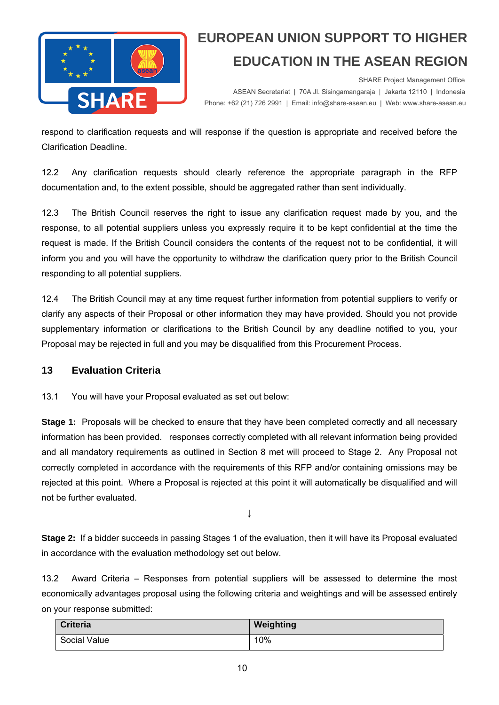

 SHARE Project Management Office ASEAN Secretariat | 70A Jl. Sisingamangaraja | Jakarta 12110 | Indonesia<br>Phone: +62 (21) 726 2991 | Email: info@share-asean.eu | Web: www.share-asean.eu Phone: +62 (21) 726 2991 | Email: info@share-asean.eu | Web: www.share-asean.eu

respond to clarification requests and will response if the question is appropriate and received before the Clarification Deadline.

12.2 Any clarification requests should clearly reference the appropriate paragraph in the RFP documentation and, to the extent possible, should be aggregated rather than sent individually.

12.3 The British Council reserves the right to issue any clarification request made by you, and the response, to all potential suppliers unless you expressly require it to be kept confidential at the time the request is made. If the British Council considers the contents of the request not to be confidential, it will inform you and you will have the opportunity to withdraw the clarification query prior to the British Council responding to all potential suppliers.

12.4 The British Council may at any time request further information from potential suppliers to verify or clarify any aspects of their Proposal or other information they may have provided. Should you not provide supplementary information or clarifications to the British Council by any deadline notified to you, your Proposal may be rejected in full and you may be disqualified from this Procurement Process.

#### **13 Evaluation Criteria**

13.1 You will have your Proposal evaluated as set out below:

**Stage 1:** Proposals will be checked to ensure that they have been completed correctly and all necessary information has been provided. responses correctly completed with all relevant information being provided and all mandatory requirements as outlined in Section 8 met will proceed to Stage 2. Any Proposal not correctly completed in accordance with the requirements of this RFP and/or containing omissions may be rejected at this point. Where a Proposal is rejected at this point it will automatically be disqualified and will not be further evaluated.

 $\downarrow$ 

**Stage 2:** If a bidder succeeds in passing Stages 1 of the evaluation, then it will have its Proposal evaluated in accordance with the evaluation methodology set out below.

13.2 Award Criteria – Responses from potential suppliers will be assessed to determine the most economically advantages proposal using the following criteria and weightings and will be assessed entirely on your response submitted:

| <b>Criteria</b> | Weighting |
|-----------------|-----------|
| Social Value    | 10%       |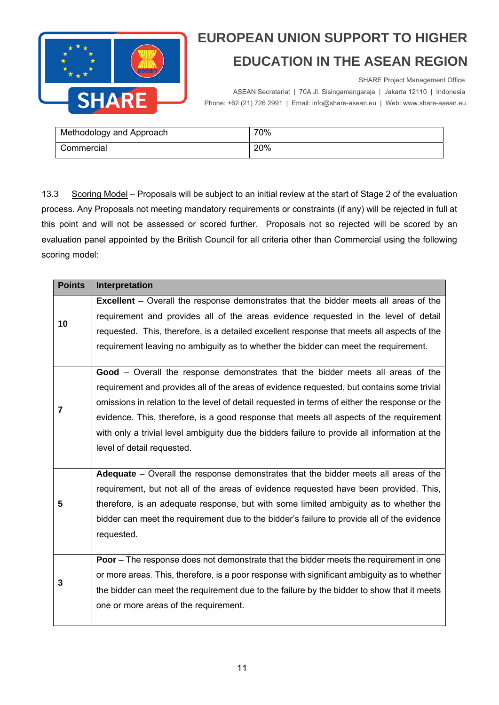

SHARE Project Management Office

ASEAN Secretariat | 70A Jl. Sisingamangaraja | Jakarta 12110 | Indonesia<br>Phone: +62 (21) 726 2991 | Email: info@share-asean.eu | Web: www.share-asean.eu Phone: +62 (21) 726 2991 | Email: info@share-asean.eu | Web: www.share-asean.eu

| Methodology and Approach | 70% |
|--------------------------|-----|
| Commercial               | 20% |

13.3 Scoring Model – Proposals will be subject to an initial review at the start of Stage 2 of the evaluation process. Any Proposals not meeting mandatory requirements or constraints (if any) will be rejected in full at this point and will not be assessed or scored further. Proposals not so rejected will be scored by an evaluation panel appointed by the British Council for all criteria other than Commercial using the following scoring model:

| <b>Points</b> | Interpretation                                                                                |
|---------------|-----------------------------------------------------------------------------------------------|
| 10            | <b>Excellent</b> – Overall the response demonstrates that the bidder meets all areas of the   |
|               | requirement and provides all of the areas evidence requested in the level of detail           |
|               | requested. This, therefore, is a detailed excellent response that meets all aspects of the    |
|               | requirement leaving no ambiguity as to whether the bidder can meet the requirement.           |
|               |                                                                                               |
| 7             | Good - Overall the response demonstrates that the bidder meets all areas of the               |
|               | requirement and provides all of the areas of evidence requested, but contains some trivial    |
|               | omissions in relation to the level of detail requested in terms of either the response or the |
|               | evidence. This, therefore, is a good response that meets all aspects of the requirement       |
|               | with only a trivial level ambiguity due the bidders failure to provide all information at the |
|               | level of detail requested.                                                                    |
|               |                                                                                               |
| 5             | <b>Adequate</b> – Overall the response demonstrates that the bidder meets all areas of the    |
|               | requirement, but not all of the areas of evidence requested have been provided. This,         |
|               | therefore, is an adequate response, but with some limited ambiguity as to whether the         |
|               | bidder can meet the requirement due to the bidder's failure to provide all of the evidence    |
|               | requested.                                                                                    |
|               |                                                                                               |
| 3             | Poor - The response does not demonstrate that the bidder meets the requirement in one         |
|               | or more areas. This, therefore, is a poor response with significant ambiguity as to whether   |
|               | the bidder can meet the requirement due to the failure by the bidder to show that it meets    |
|               | one or more areas of the requirement.                                                         |
|               |                                                                                               |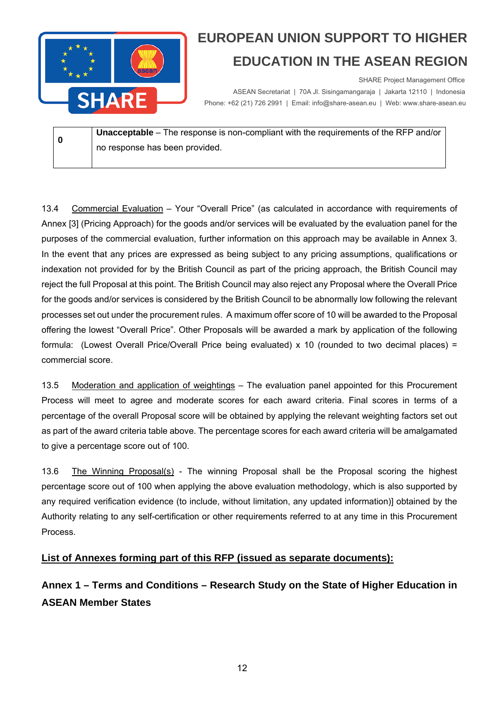

 SHARE Project Management Office ASEAN Secretariat | 70A Jl. Sisingamangaraja | Jakarta 12110 | Indonesia<br>Phone: +62 (21) 726 2991 | Email: info@share-asean.eu | Web: www.share-asean.eu Phone: +62 (21) 726 2991 | Email: info@share-asean.eu | Web: www.share-asean.eu

**0 Unacceptable** – The response is non-compliant with the requirements of the RFP and/or no response has been provided.

13.4 Commercial Evaluation – Your "Overall Price" (as calculated in accordance with requirements of Annex [3] (Pricing Approach) for the goods and/or services will be evaluated by the evaluation panel for the purposes of the commercial evaluation, further information on this approach may be available in Annex 3. In the event that any prices are expressed as being subject to any pricing assumptions, qualifications or indexation not provided for by the British Council as part of the pricing approach, the British Council may reject the full Proposal at this point. The British Council may also reject any Proposal where the Overall Price for the goods and/or services is considered by the British Council to be abnormally low following the relevant processes set out under the procurement rules. A maximum offer score of 10 will be awarded to the Proposal offering the lowest "Overall Price". Other Proposals will be awarded a mark by application of the following formula: (Lowest Overall Price/Overall Price being evaluated) x 10 (rounded to two decimal places) = commercial score.

13.5 Moderation and application of weightings – The evaluation panel appointed for this Procurement Process will meet to agree and moderate scores for each award criteria. Final scores in terms of a percentage of the overall Proposal score will be obtained by applying the relevant weighting factors set out as part of the award criteria table above. The percentage scores for each award criteria will be amalgamated to give a percentage score out of 100.

13.6 The Winning Proposal(s) - The winning Proposal shall be the Proposal scoring the highest percentage score out of 100 when applying the above evaluation methodology, which is also supported by any required verification evidence (to include, without limitation, any updated information)] obtained by the Authority relating to any self-certification or other requirements referred to at any time in this Procurement Process.

### **List of Annexes forming part of this RFP (issued as separate documents):**

**Annex 1 – Terms and Conditions – Research Study on the State of Higher Education in ASEAN Member States**